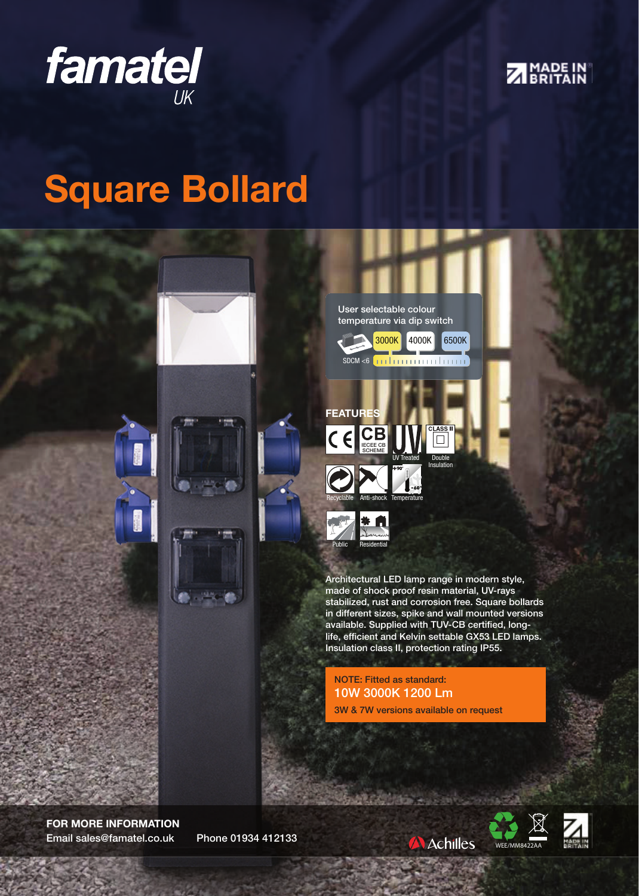



## Square Bollard



FOR MORE INFORMATION Email sales@famatel.co.uk Phone 01934 412133